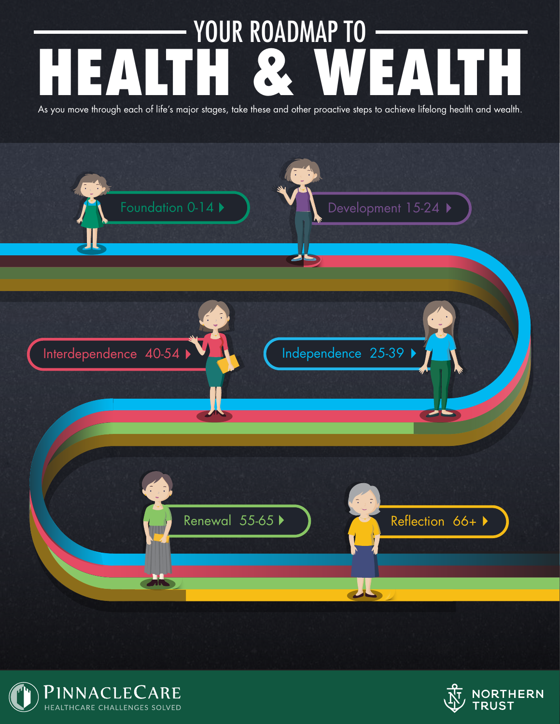# <span id="page-0-0"></span>YOUR ROADMAP TO HEALTH & WEALTH

As you move through each of life's major stages, take these and other proactive steps to achieve lifelong health and wealth.





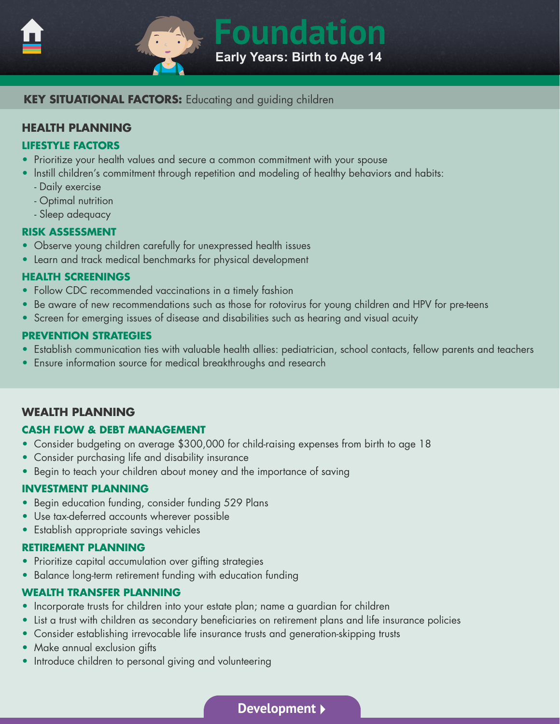<span id="page-1-0"></span>



# **KEY SITUATIONAL FACTORS:** Educating and guiding children

# **HEALTH PLANNING**

#### **LIFESTYLE FACTORS**

- Prioritize your health values and secure a common commitment with your spouse
- Instill children's commitment through repetition and modeling of healthy behaviors and habits:
	- Daily exercise
	- Optimal nutrition
	- Sleep adequacy

#### **RISK ASSESSMENT**

- Observe young children carefully for unexpressed health issues
- Learn and track medical benchmarks for physical development

# **HEALTH SCREENINGS**

- Follow CDC recommended vaccinations in a timely fashion
- Be aware of new recommendations such as those for rotovirus for young children and HPV for pre-teens
- Screen for emerging issues of disease and disabilities such as hearing and visual acuity

# **PREVENTION STRATEGIES**

- Establish communication ties with valuable health allies: pediatrician, school contacts, fellow parents and teachers
- Ensure information source for medical breakthroughs and research

# **WEALTH PLANNING**

# **CASH FLOW & DEBT MANAGEMENT**

- Consider budgeting on average \$300,000 for child-raising expenses from birth to age 18
- Consider purchasing life and disability insurance
- Begin to teach your children about money and the importance of saving

#### **INVESTMENT PLANNING**

- Begin education funding, consider funding 529 Plans
- Use tax-deferred accounts wherever possible
- Establish appropriate savings vehicles

# **RETIREMENT PLANNING**

- Prioritize capital accumulation over gifting strategies
- Balance long-term retirement funding with education funding

# **WEALTH TRANSFER PLANNING**

- Incorporate trusts for children into your estate plan; name a guardian for children
- List a trust with children as secondary beneficiaries on retirement plans and life insurance policies
- Consider establishing irrevocable life insurance trusts and generation-skipping trusts
- Make annual exclusion gifts
- Introduce children to personal giving and volunteering

**[Development](#page-2-0)**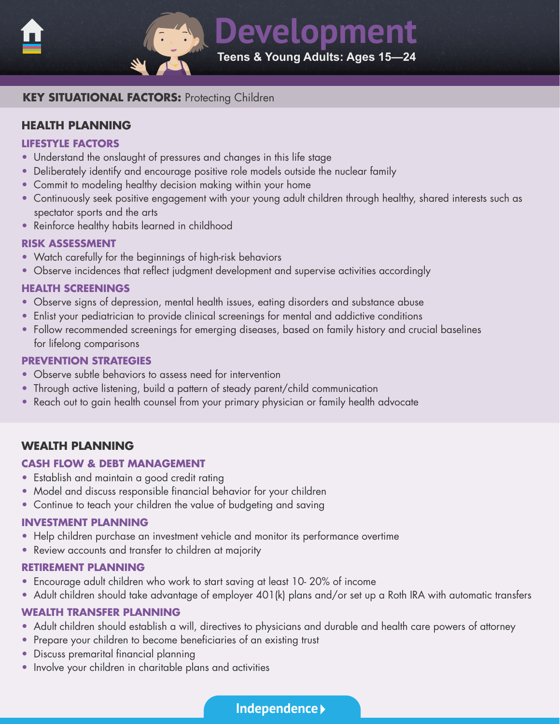<span id="page-2-0"></span>

**Development Teens & Young Adults: Ages 15—24** 

# **KEY SITUATIONAL FACTORS: Protecting Children**

# **HEALTH PLANNING**

#### **LIFESTYLE FACTORS**

- Understand the onslaught of pressures and changes in this life stage
- Deliberately identify and encourage positive role models outside the nuclear family
- Commit to modeling healthy decision making within your home
- Continuously seek positive engagement with your young adult children through healthy, shared interests such as spectator sports and the arts
- Reinforce healthy habits learned in childhood

#### **RISK ASSESSMENT**

- Watch carefully for the beginnings of high-risk behaviors
- Observe incidences that reflect judgment development and supervise activities accordingly

#### **HEALTH SCREENINGS**

- Observe signs of depression, mental health issues, eating disorders and substance abuse
- Enlist your pediatrician to provide clinical screenings for mental and addictive conditions
- Follow recommended screenings for emerging diseases, based on family history and crucial baselines for lifelong comparisons

#### **PREVENTION STRATEGIES**

- Observe subtle behaviors to assess need for intervention
- Through active listening, build a pattern of steady parent/child communication
- Reach out to gain health counsel from your primary physician or family health advocate

# **WEALTH PLANNING**

# **CASH FLOW & DEBT MANAGEMENT**

- Establish and maintain a good credit rating
- Model and discuss responsible financial behavior for your children
- Continue to teach your children the value of budgeting and saving

#### **INVESTMENT PLANNING**

- Help children purchase an investment vehicle and monitor its performance overtime
- Review accounts and transfer to children at majority

#### **RETIREMENT PLANNING**

- Encourage adult children who work to start saving at least 10- 20% of income
- Adult children should take advantage of employer 401(k) plans and/or set up a Roth IRA with automatic transfers

- Adult children should establish a will, directives to physicians and durable and health care powers of attorney
- Prepare your children to become beneficiaries of an existing trust
- Discuss premarital financial planning
- Involve your children in charitable plans and activities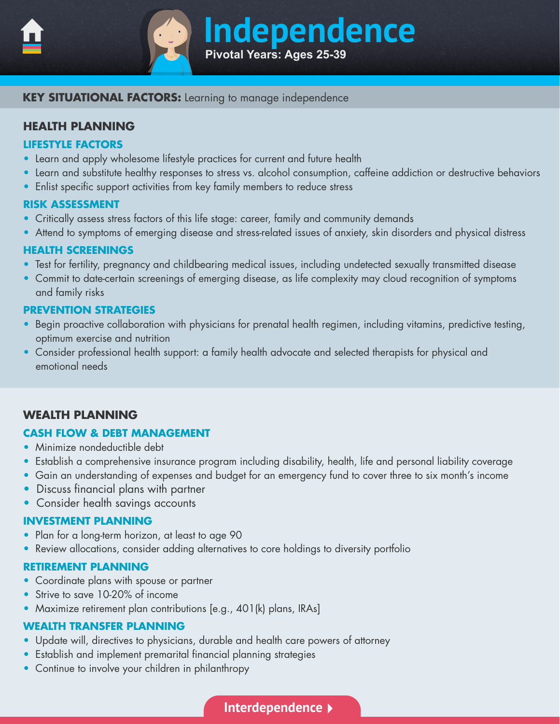<span id="page-3-0"></span>

# **Independence Pivotal Years: Ages 25-39**

# **KEY SITUATIONAL FACTORS:** Learning to manage independence

# **HEALTH PLANNING**

#### **LIFESTYLE FACTORS**

- Learn and apply wholesome lifestyle practices for current and future health
- Learn and substitute healthy responses to stress vs. alcohol consumption, caffeine addiction or destructive behaviors
- Enlist specific support activities from key family members to reduce stress

#### **RISK ASSESSMENT**

- Critically assess stress factors of this life stage: career, family and community demands
- Attend to symptoms of emerging disease and stress-related issues of anxiety, skin disorders and physical distress

#### **HEALTH SCREENINGS**

- Test for fertility, pregnancy and childbearing medical issues, including undetected sexually transmitted disease
- Commit to date-certain screenings of emerging disease, as life complexity may cloud recognition of symptoms and family risks

# **PREVENTION STRATEGIES**

- Begin proactive collaboration with physicians for prenatal health regimen, including vitamins, predictive testing, optimum exercise and nutrition
- Consider professional health support: a family health advocate and selected therapists for physical and emotional needs

# **WEALTH PLANNING**

# **CASH FLOW & DEBT MANAGEMENT**

- Minimize nondeductible debt
- Establish a comprehensive insurance program including disability, health, life and personal liability coverage
- Gain an understanding of expenses and budget for an emergency fund to cover three to six month's income
- Discuss financial plans with partner
- Consider health savings accounts

#### **INVESTMENT PLANNING**

- Plan for a long-term horizon, at least to age 90
- Review allocations, consider adding alternatives to core holdings to diversity portfolio

#### **RETIREMENT PLANNING**

- Coordinate plans with spouse or partner
- Strive to save 10-20% of income
- Maximize retirement plan contributions [e.g., 401(k) plans, IRAs]

- Update will, directives to physicians, durable and health care powers of attorney
- Establish and implement premarital financial planning strategies
- Continue to involve your children in philanthropy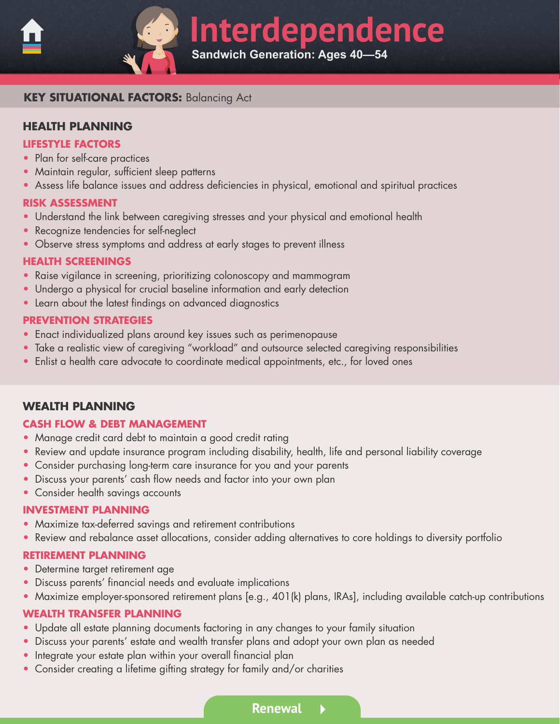<span id="page-4-0"></span>

**Interdependence Sandwich Generation: Ages 40—54** 

# **KEY SITUATIONAL FACTORS:** Balancing Act

# **HEALTH PLANNING**

#### **LIFESTYLE FACTORS**

- Plan for self-care practices
- Maintain regular, sufficient sleep patterns
- Assess life balance issues and address deficiencies in physical, emotional and spiritual practices

#### **RISK ASSESSMENT**

- Understand the link between caregiving stresses and your physical and emotional health
- Recognize tendencies for self-neglect
- Observe stress symptoms and address at early stages to prevent illness

#### **HEALTH SCREENINGS**

- Raise vigilance in screening, prioritizing colonoscopy and mammogram
- Undergo a physical for crucial baseline information and early detection
- Learn about the latest findings on advanced diagnostics

#### **PREVENTION STRATEGIES**

- Enact individualized plans around key issues such as perimenopause
- Take a realistic view of caregiving "workload" and outsource selected caregiving responsibilities
- Enlist a health care advocate to coordinate medical appointments, etc., for loved ones

# **WEALTH PLANNING**

#### **CASH FLOW & DEBT MANAGEMENT**

- Manage credit card debt to maintain a good credit rating
- Review and update insurance program including disability, health, life and personal liability coverage
- Consider purchasing long-term care insurance for you and your parents
- Discuss your parents' cash flow needs and factor into your own plan
- Consider health savings accounts

#### **INVESTMENT PLANNING**

- Maximize tax-deferred savings and retirement contributions
- Review and rebalance asset allocations, consider adding alternatives to core holdings to diversity portfolio

#### **RETIREMENT PLANNING**

- Determine target retirement age
- Discuss parents' financial needs and evaluate implications
- Maximize employer-sponsored retirement plans [e.g., 401(k) plans, IRAs], including available catch-up contributions

- Update all estate planning documents factoring in any changes to your family situation
- Discuss your parents' estate and wealth transfer plans and adopt your own plan as needed
- Integrate your estate plan within your overall financial plan
- Consider creating a lifetime gifting strategy for family and/or charities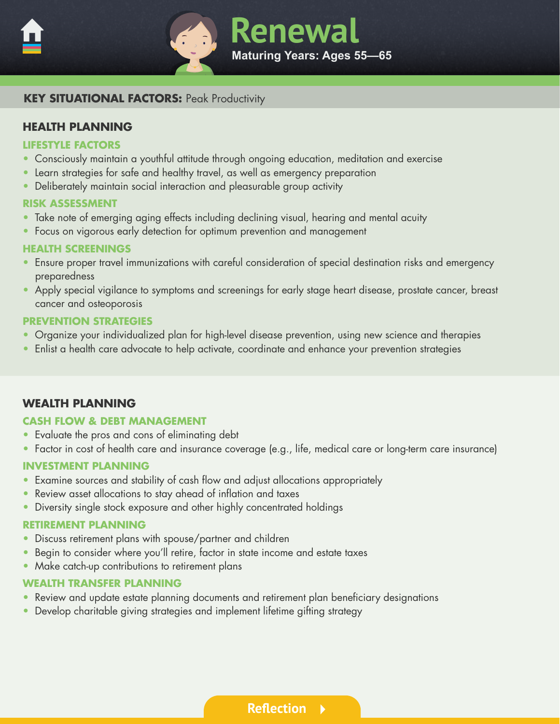<span id="page-5-0"></span>



# **KEY SITUATIONAL FACTORS: Peak Productivity**

# **HEALTH PLANNING**

#### **LIFESTYLE FACTORS**

- Consciously maintain a youthful attitude through ongoing education, meditation and exercise
- Learn strategies for safe and healthy travel, as well as emergency preparation
- Deliberately maintain social interaction and pleasurable group activity

#### **RISK ASSESSMENT**

- Take note of emerging aging effects including declining visual, hearing and mental acuity
- Focus on vigorous early detection for optimum prevention and management

#### **HEALTH SCREENINGS**

- Ensure proper travel immunizations with careful consideration of special destination risks and emergency preparedness
- Apply special vigilance to symptoms and screenings for early stage heart disease, prostate cancer, breast cancer and osteoporosis

#### **PREVENTION STRATEGIES**

- Organize your individualized plan for high-level disease prevention, using new science and therapies
- Enlist a health care advocate to help activate, coordinate and enhance your prevention strategies

# **WEALTH PLANNING**

#### **CASH FLOW & DEBT MANAGEMENT**

- Evaluate the pros and cons of eliminating debt
- Factor in cost of health care and insurance coverage (e.g., life, medical care or long-term care insurance)

#### **INVESTMENT PLANNING**

- Examine sources and stability of cash flow and adjust allocations appropriately
- Review asset allocations to stay ahead of inflation and taxes
- Diversity single stock exposure and other highly concentrated holdings

#### **RETIREMENT PLANNING**

- Discuss retirement plans with spouse/partner and children
- Begin to consider where you'll retire, factor in state income and estate taxes
- Make catch-up contributions to retirement plans

#### **WEALTH TRANSFER PLANNING**

- Review and update estate planning documents and retirement plan beneficiary designations
- Develop charitable giving strategies and implement lifetime gifting strategy

**[Reflection](#page-6-0)**